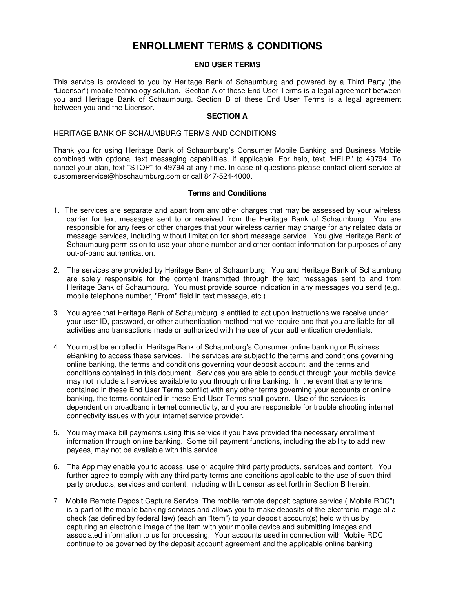# **ENROLLMENT TERMS & CONDITIONS**

## **END USER TERMS**

This service is provided to you by Heritage Bank of Schaumburg and powered by a Third Party (the "Licensor") mobile technology solution. Section A of these End User Terms is a legal agreement between you and Heritage Bank of Schaumburg. Section B of these End User Terms is a legal agreement between you and the Licensor.

#### **SECTION A**

#### HERITAGE BANK OF SCHAUMBURG TERMS AND CONDITIONS

Thank you for using Heritage Bank of Schaumburg's Consumer Mobile Banking and Business Mobile combined with optional text messaging capabilities, if applicable. For help, text "HELP" to 49794. To cancel your plan, text "STOP" to 49794 at any time. In case of questions please contact client service at customerservice@hbschaumburg.com or call 847-524-4000.

## **Terms and Conditions**

- 1. The services are separate and apart from any other charges that may be assessed by your wireless carrier for text messages sent to or received from the Heritage Bank of Schaumburg. You are responsible for any fees or other charges that your wireless carrier may charge for any related data or message services, including without limitation for short message service. You give Heritage Bank of Schaumburg permission to use your phone number and other contact information for purposes of any out-of-band authentication.
- 2. The services are provided by Heritage Bank of Schaumburg. You and Heritage Bank of Schaumburg are solely responsible for the content transmitted through the text messages sent to and from Heritage Bank of Schaumburg. You must provide source indication in any messages you send (e.g., mobile telephone number, "From" field in text message, etc.)
- 3. You agree that Heritage Bank of Schaumburg is entitled to act upon instructions we receive under your user ID, password, or other authentication method that we require and that you are liable for all activities and transactions made or authorized with the use of your authentication credentials.
- 4. You must be enrolled in Heritage Bank of Schaumburg's Consumer online banking or Business eBanking to access these services. The services are subject to the terms and conditions governing online banking, the terms and conditions governing your deposit account, and the terms and conditions contained in this document. Services you are able to conduct through your mobile device may not include all services available to you through online banking. In the event that any terms contained in these End User Terms conflict with any other terms governing your accounts or online banking, the terms contained in these End User Terms shall govern. Use of the services is dependent on broadband internet connectivity, and you are responsible for trouble shooting internet connectivity issues with your internet service provider.
- 5. You may make bill payments using this service if you have provided the necessary enrollment information through online banking. Some bill payment functions, including the ability to add new payees, may not be available with this service
- 6. The App may enable you to access, use or acquire third party products, services and content. You further agree to comply with any third party terms and conditions applicable to the use of such third party products, services and content, including with Licensor as set forth in Section B herein.
- 7. Mobile Remote Deposit Capture Service. The mobile remote deposit capture service ("Mobile RDC") is a part of the mobile banking services and allows you to make deposits of the electronic image of a check (as defined by federal law) (each an "Item") to your deposit account(s) held with us by capturing an electronic image of the Item with your mobile device and submitting images and associated information to us for processing. Your accounts used in connection with Mobile RDC continue to be governed by the deposit account agreement and the applicable online banking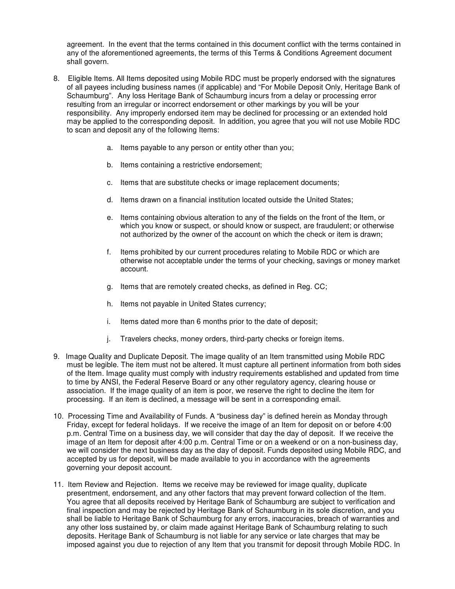agreement. In the event that the terms contained in this document conflict with the terms contained in any of the aforementioned agreements, the terms of this Terms & Conditions Agreement document shall govern.

- 8. Eligible Items. All Items deposited using Mobile RDC must be properly endorsed with the signatures of all payees including business names (if applicable) and "For Mobile Deposit Only, Heritage Bank of Schaumburg". Any loss Heritage Bank of Schaumburg incurs from a delay or processing error resulting from an irregular or incorrect endorsement or other markings by you will be your responsibility. Any improperly endorsed item may be declined for processing or an extended hold may be applied to the corresponding deposit. In addition, you agree that you will not use Mobile RDC to scan and deposit any of the following Items:
	- a. Items payable to any person or entity other than you;
	- b. Items containing a restrictive endorsement;
	- c. Items that are substitute checks or image replacement documents;
	- d. Items drawn on a financial institution located outside the United States;
	- e. Items containing obvious alteration to any of the fields on the front of the Item, or which you know or suspect, or should know or suspect, are fraudulent; or otherwise not authorized by the owner of the account on which the check or item is drawn;
	- f. Items prohibited by our current procedures relating to Mobile RDC or which are otherwise not acceptable under the terms of your checking, savings or money market account.
	- g. Items that are remotely created checks, as defined in Reg. CC;
	- h. Items not payable in United States currency;
	- i. Items dated more than 6 months prior to the date of deposit;
	- j. Travelers checks, money orders, third-party checks or foreign items.
- 9. Image Quality and Duplicate Deposit. The image quality of an Item transmitted using Mobile RDC must be legible. The item must not be altered. It must capture all pertinent information from both sides of the Item. Image quality must comply with industry requirements established and updated from time to time by ANSI, the Federal Reserve Board or any other regulatory agency, clearing house or association. If the image quality of an item is poor, we reserve the right to decline the item for processing. If an item is declined, a message will be sent in a corresponding email.
- 10. Processing Time and Availability of Funds. A "business day" is defined herein as Monday through Friday, except for federal holidays. If we receive the image of an Item for deposit on or before 4:00 p.m. Central Time on a business day, we will consider that day the day of deposit. If we receive the image of an Item for deposit after 4:00 p.m. Central Time or on a weekend or on a non-business day, we will consider the next business day as the day of deposit. Funds deposited using Mobile RDC, and accepted by us for deposit, will be made available to you in accordance with the agreements governing your deposit account.
- 11. Item Review and Rejection.Items we receive may be reviewed for image quality, duplicate presentment, endorsement, and any other factors that may prevent forward collection of the Item. You agree that all deposits received by Heritage Bank of Schaumburg are subject to verification and final inspection and may be rejected by Heritage Bank of Schaumburg in its sole discretion, and you shall be liable to Heritage Bank of Schaumburg for any errors, inaccuracies, breach of warranties and any other loss sustained by, or claim made against Heritage Bank of Schaumburg relating to such deposits. Heritage Bank of Schaumburg is not liable for any service or late charges that may be imposed against you due to rejection of any Item that you transmit for deposit through Mobile RDC. In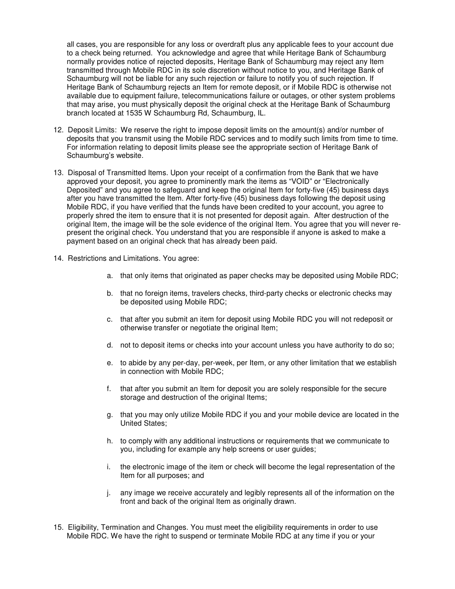all cases, you are responsible for any loss or overdraft plus any applicable fees to your account due to a check being returned. You acknowledge and agree that while Heritage Bank of Schaumburg normally provides notice of rejected deposits, Heritage Bank of Schaumburg may reject any Item transmitted through Mobile RDC in its sole discretion without notice to you, and Heritage Bank of Schaumburg will not be liable for any such rejection or failure to notify you of such rejection. If Heritage Bank of Schaumburg rejects an Item for remote deposit, or if Mobile RDC is otherwise not available due to equipment failure, telecommunications failure or outages, or other system problems that may arise, you must physically deposit the original check at the Heritage Bank of Schaumburg branch located at 1535 W Schaumburg Rd, Schaumburg, IL.

- 12. Deposit Limits: We reserve the right to impose deposit limits on the amount(s) and/or number of deposits that you transmit using the Mobile RDC services and to modify such limits from time to time. For information relating to deposit limits please see the appropriate section of Heritage Bank of Schaumburg's website.
- 13. Disposal of Transmitted Items. Upon your receipt of a confirmation from the Bank that we have approved your deposit, you agree to prominently mark the items as "VOID" or "Electronically Deposited" and you agree to safeguard and keep the original Item for forty-five (45) business days after you have transmitted the Item. After forty-five (45) business days following the deposit using Mobile RDC, if you have verified that the funds have been credited to your account, you agree to properly shred the item to ensure that it is not presented for deposit again. After destruction of the original Item, the image will be the sole evidence of the original Item. You agree that you will never represent the original check. You understand that you are responsible if anyone is asked to make a payment based on an original check that has already been paid.
- 14. Restrictions and Limitations. You agree:
	- a. that only items that originated as paper checks may be deposited using Mobile RDC;
	- b. that no foreign items, travelers checks, third-party checks or electronic checks may be deposited using Mobile RDC;
	- c. that after you submit an item for deposit using Mobile RDC you will not redeposit or otherwise transfer or negotiate the original Item;
	- d. not to deposit items or checks into your account unless you have authority to do so;
	- e. to abide by any per-day, per-week, per Item, or any other limitation that we establish in connection with Mobile RDC;
	- f. that after you submit an Item for deposit you are solely responsible for the secure storage and destruction of the original Items;
	- g. that you may only utilize Mobile RDC if you and your mobile device are located in the United States;
	- h. to comply with any additional instructions or requirements that we communicate to you, including for example any help screens or user guides;
	- i. the electronic image of the item or check will become the legal representation of the Item for all purposes; and
	- j. any image we receive accurately and legibly represents all of the information on the front and back of the original Item as originally drawn.
- 15. Eligibility, Termination and Changes. You must meet the eligibility requirements in order to use Mobile RDC. We have the right to suspend or terminate Mobile RDC at any time if you or your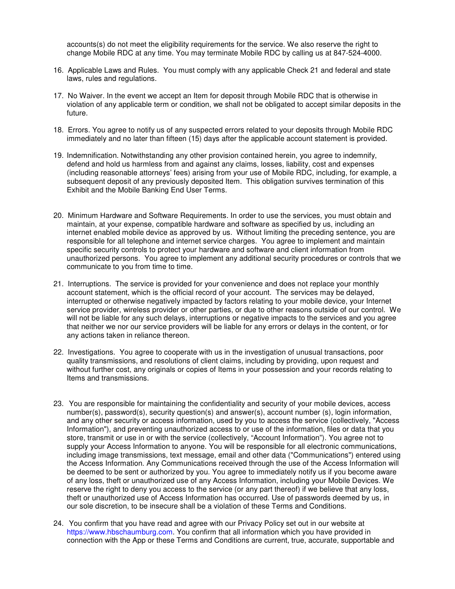accounts(s) do not meet the eligibility requirements for the service. We also reserve the right to change Mobile RDC at any time. You may terminate Mobile RDC by calling us at 847-524-4000.

- 16. Applicable Laws and Rules. You must comply with any applicable Check 21 and federal and state laws, rules and regulations.
- 17. No Waiver. In the event we accept an Item for deposit through Mobile RDC that is otherwise in violation of any applicable term or condition, we shall not be obligated to accept similar deposits in the future.
- 18. Errors. You agree to notify us of any suspected errors related to your deposits through Mobile RDC immediately and no later than fifteen (15) days after the applicable account statement is provided.
- 19. Indemnification. Notwithstanding any other provision contained herein, you agree to indemnify, defend and hold us harmless from and against any claims, losses, liability, cost and expenses (including reasonable attorneys' fees) arising from your use of Mobile RDC, including, for example, a subsequent deposit of any previously deposited Item. This obligation survives termination of this Exhibit and the Mobile Banking End User Terms.
- 20. Minimum Hardware and Software Requirements. In order to use the services, you must obtain and maintain, at your expense, compatible hardware and software as specified by us, including an internet enabled mobile device as approved by us. Without limiting the preceding sentence, you are responsible for all telephone and internet service charges. You agree to implement and maintain specific security controls to protect your hardware and software and client information from unauthorized persons. You agree to implement any additional security procedures or controls that we communicate to you from time to time.
- 21. Interruptions.The service is provided for your convenience and does not replace your monthly account statement, which is the official record of your account. The services may be delayed, interrupted or otherwise negatively impacted by factors relating to your mobile device, your Internet service provider, wireless provider or other parties, or due to other reasons outside of our control. We will not be liable for any such delays, interruptions or negative impacts to the services and you agree that neither we nor our service providers will be liable for any errors or delays in the content, or for any actions taken in reliance thereon.
- 22. Investigations.You agree to cooperate with us in the investigation of unusual transactions, poor quality transmissions, and resolutions of client claims, including by providing, upon request and without further cost, any originals or copies of Items in your possession and your records relating to Items and transmissions.
- 23. You are responsible for maintaining the confidentiality and security of your mobile devices, access number(s), password(s), security question(s) and answer(s), account number (s), login information, and any other security or access information, used by you to access the service (collectively, "Access Information"), and preventing unauthorized access to or use of the information, files or data that you store, transmit or use in or with the service (collectively, "Account Information"). You agree not to supply your Access Information to anyone. You will be responsible for all electronic communications, including image transmissions, text message, email and other data ("Communications") entered using the Access Information. Any Communications received through the use of the Access Information will be deemed to be sent or authorized by you. You agree to immediately notify us if you become aware of any loss, theft or unauthorized use of any Access Information, including your Mobile Devices. We reserve the right to deny you access to the service (or any part thereof) if we believe that any loss, theft or unauthorized use of Access Information has occurred. Use of passwords deemed by us, in our sole discretion, to be insecure shall be a violation of these Terms and Conditions.
- 24. You confirm that you have read and agree with our Privacy Policy set out in our website at https://www.hbschaumburg.com. You confirm that all information which you have provided in connection with the App or these Terms and Conditions are current, true, accurate, supportable and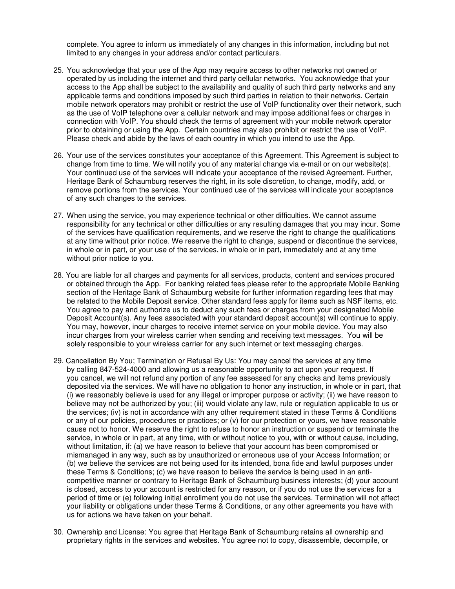complete. You agree to inform us immediately of any changes in this information, including but not limited to any changes in your address and/or contact particulars.

- 25. You acknowledge that your use of the App may require access to other networks not owned or operated by us including the internet and third party cellular networks. You acknowledge that your access to the App shall be subject to the availability and quality of such third party networks and any applicable terms and conditions imposed by such third parties in relation to their networks. Certain mobile network operators may prohibit or restrict the use of VoIP functionality over their network, such as the use of VoIP telephone over a cellular network and may impose additional fees or charges in connection with VoIP. You should check the terms of agreement with your mobile network operator prior to obtaining or using the App. Certain countries may also prohibit or restrict the use of VoIP. Please check and abide by the laws of each country in which you intend to use the App.
- 26. Your use of the services constitutes your acceptance of this Agreement. This Agreement is subject to change from time to time. We will notify you of any material change via e-mail or on our website(s). Your continued use of the services will indicate your acceptance of the revised Agreement. Further, Heritage Bank of Schaumburg reserves the right, in its sole discretion, to change, modify, add, or remove portions from the services. Your continued use of the services will indicate your acceptance of any such changes to the services.
- 27. When using the service, you may experience technical or other difficulties. We cannot assume responsibility for any technical or other difficulties or any resulting damages that you may incur. Some of the services have qualification requirements, and we reserve the right to change the qualifications at any time without prior notice. We reserve the right to change, suspend or discontinue the services, in whole or in part, or your use of the services, in whole or in part, immediately and at any time without prior notice to you.
- 28. You are liable for all charges and payments for all services, products, content and services procured or obtained through the App. For banking related fees please refer to the appropriate Mobile Banking section of the Heritage Bank of Schaumburg website for further information regarding fees that may be related to the Mobile Deposit service. Other standard fees apply for items such as NSF items, etc. You agree to pay and authorize us to deduct any such fees or charges from your designated Mobile Deposit Account(s). Any fees associated with your standard deposit account(s) will continue to apply. You may, however, incur charges to receive internet service on your mobile device. You may also incur charges from your wireless carrier when sending and receiving text messages. You will be solely responsible to your wireless carrier for any such internet or text messaging charges.
- 29. Cancellation By You; Termination or Refusal By Us: You may cancel the services at any time by calling 847-524-4000 and allowing us a reasonable opportunity to act upon your request. If you cancel, we will not refund any portion of any fee assessed for any checks and items previously deposited via the services. We will have no obligation to honor any instruction, in whole or in part, that (i) we reasonably believe is used for any illegal or improper purpose or activity; (ii) we have reason to believe may not be authorized by you; (iii) would violate any law, rule or regulation applicable to us or the services; (iv) is not in accordance with any other requirement stated in these Terms & Conditions or any of our policies, procedures or practices; or (v) for our protection or yours, we have reasonable cause not to honor. We reserve the right to refuse to honor an instruction or suspend or terminate the service, in whole or in part, at any time, with or without notice to you, with or without cause, including, without limitation, if: (a) we have reason to believe that your account has been compromised or mismanaged in any way, such as by unauthorized or erroneous use of your Access Information; or (b) we believe the services are not being used for its intended, bona fide and lawful purposes under these Terms & Conditions; (c) we have reason to believe the service is being used in an anticompetitive manner or contrary to Heritage Bank of Schaumburg business interests; (d) your account is closed, access to your account is restricted for any reason, or if you do not use the services for a period of time or (e) following initial enrollment you do not use the services. Termination will not affect your liability or obligations under these Terms & Conditions, or any other agreements you have with us for actions we have taken on your behalf.
- 30. Ownership and License: You agree that Heritage Bank of Schaumburg retains all ownership and proprietary rights in the services and websites. You agree not to copy, disassemble, decompile, or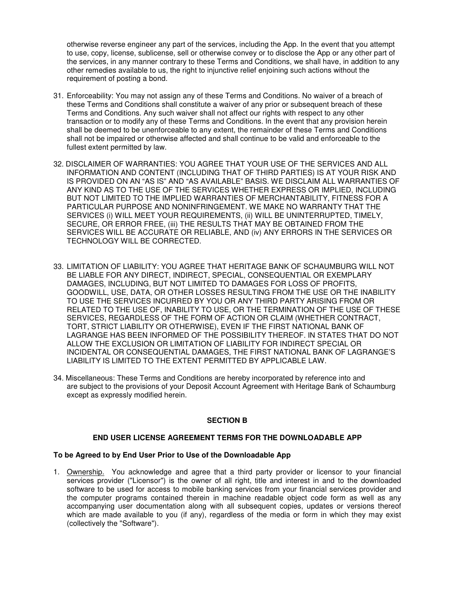otherwise reverse engineer any part of the services, including the App. In the event that you attempt to use, copy, license, sublicense, sell or otherwise convey or to disclose the App or any other part of the services, in any manner contrary to these Terms and Conditions, we shall have, in addition to any other remedies available to us, the right to injunctive relief enjoining such actions without the requirement of posting a bond.

- 31. Enforceability: You may not assign any of these Terms and Conditions. No waiver of a breach of these Terms and Conditions shall constitute a waiver of any prior or subsequent breach of these Terms and Conditions. Any such waiver shall not affect our rights with respect to any other transaction or to modify any of these Terms and Conditions. In the event that any provision herein shall be deemed to be unenforceable to any extent, the remainder of these Terms and Conditions shall not be impaired or otherwise affected and shall continue to be valid and enforceable to the fullest extent permitted by law.
- 32. DISCLAIMER OF WARRANTIES: YOU AGREE THAT YOUR USE OF THE SERVICES AND ALL INFORMATION AND CONTENT (INCLUDING THAT OF THIRD PARTIES) IS AT YOUR RISK AND IS PROVIDED ON AN "AS IS" AND "AS AVAILABLE" BASIS. WE DISCLAIM ALL WARRANTIES OF ANY KIND AS TO THE USE OF THE SERVICES WHETHER EXPRESS OR IMPLIED, INCLUDING BUT NOT LIMITED TO THE IMPLIED WARRANTIES OF MERCHANTABILITY, FITNESS FOR A PARTICULAR PURPOSE AND NONINFRINGEMENT. WE MAKE NO WARRANTY THAT THE SERVICES (i) WILL MEET YOUR REQUIREMENTS, (ii) WILL BE UNINTERRUPTED, TIMELY, SECURE, OR ERROR FREE, (iii) THE RESULTS THAT MAY BE OBTAINED FROM THE SERVICES WILL BE ACCURATE OR RELIABLE, AND (iv) ANY ERRORS IN THE SERVICES OR TECHNOLOGY WILL BE CORRECTED.
- 33. LIMITATION OF LIABILITY: YOU AGREE THAT HERITAGE BANK OF SCHAUMBURG WILL NOT BE LIABLE FOR ANY DIRECT, INDIRECT, SPECIAL, CONSEQUENTIAL OR EXEMPLARY DAMAGES, INCLUDING, BUT NOT LIMITED TO DAMAGES FOR LOSS OF PROFITS, GOODWILL, USE, DATA, OR OTHER LOSSES RESULTING FROM THE USE OR THE INABILITY TO USE THE SERVICES INCURRED BY YOU OR ANY THIRD PARTY ARISING FROM OR RELATED TO THE USE OF, INABILITY TO USE, OR THE TERMINATION OF THE USE OF THESE SERVICES, REGARDLESS OF THE FORM OF ACTION OR CLAIM (WHETHER CONTRACT, TORT, STRICT LIABILITY OR OTHERWISE), EVEN IF THE FIRST NATIONAL BANK OF LAGRANGE HAS BEEN INFORMED OF THE POSSIBILITY THEREOF. IN STATES THAT DO NOT ALLOW THE EXCLUSION OR LIMITATION OF LIABILITY FOR INDIRECT SPECIAL OR INCIDENTAL OR CONSEQUENTIAL DAMAGES, THE FIRST NATIONAL BANK OF LAGRANGE'S LIABILITY IS LIMITED TO THE EXTENT PERMITTED BY APPLICABLE LAW.
- 34. Miscellaneous: These Terms and Conditions are hereby incorporated by reference into and are subject to the provisions of your Deposit Account Agreement with Heritage Bank of Schaumburg except as expressly modified herein.

# **SECTION B**

#### **END USER LICENSE AGREEMENT TERMS FOR THE DOWNLOADABLE APP**

# **To be Agreed to by End User Prior to Use of the Downloadable App**

1. Ownership. You acknowledge and agree that a third party provider or licensor to your financial services provider ("Licensor") is the owner of all right, title and interest in and to the downloaded software to be used for access to mobile banking services from your financial services provider and the computer programs contained therein in machine readable object code form as well as any accompanying user documentation along with all subsequent copies, updates or versions thereof which are made available to you (if any), regardless of the media or form in which they may exist (collectively the "Software").